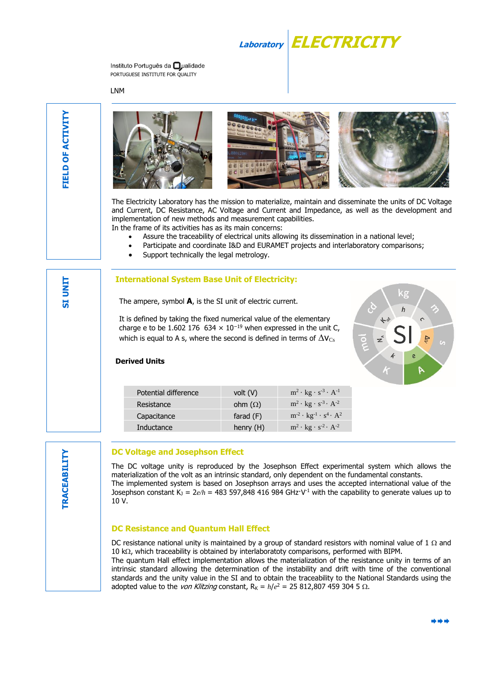

Instituto Português da **O**ualidade PORTUGUESE INSTITUTE FOR QUALITY

LNM

**SI UNIT**



The Electricity Laboratory has the mission to materialize, maintain and disseminate the units of DC Voltage and Current, DC Resistance, AC Voltage and Current and Impedance, as well as the development and implementation of new methods and measurement capabilities. In the frame of its activities has as its main concerns:

- Assure the traceability of electrical units allowing its dissemination in a national level;
- Participate and coordinate I&D and EURAMET projects and interlaboratory comparisons;
- Support technically the legal metrology.

# **International System Base Unit of Electricity:**

The ampere, symbol **A**, is the SI unit of electric current.

It is defined by taking the fixed numerical value of the elementary charge e to be 1.602 176 634  $\times$  10<sup>-19</sup> when expressed in the unit C, which is equal to A s, where the second is defined in terms of  $\Delta$ V<sub>Cs</sub>



#### **Derived Units**

| Potential difference | volt $(V)$     | $m^2 \cdot kg \cdot s^{-3} \cdot A^{-1}$                       |
|----------------------|----------------|----------------------------------------------------------------|
| Resistance           | ohm $(\Omega)$ | $m^2 \cdot$ kg $\cdot$ s <sup>-3</sup> $\cdot$ A <sup>-2</sup> |
| Capacitance          | farad (F)      | $m^{-2} \cdot kg^{-1} \cdot s^4 \cdot A^2$                     |
| Inductance           | henry $(H)$    | $m^2 \cdot kg \cdot s^{-2} \cdot A^{-2}$                       |

# **DC Voltage and Josephson Effect**

The DC voltage unity is reproduced by the Josephson Effect experimental system which allows the materialization of the volt as an intrinsic standard, only dependent on the fundamental constants. The implemented system is based on Josephson arrays and uses the accepted international value of the Josephson constant K<sub>J</sub> = 2 $e/h$  = 483 597,848 416 984 GHz·V<sup>-1</sup> with the capability to generate values up to 10 V.

#### **DC Resistance and Quantum Hall Effect**

DC resistance national unity is maintained by a group of standard resistors with nominal value of 1  $\Omega$  and 10 k $\Omega$ , which traceability is obtained by interlaboratoty comparisons, performed with BIPM.

The quantum Hall effect implementation allows the materialization of the resistance unity in terms of an intrinsic standard allowing the determination of the instability and drift with time of the conventional standards and the unity value in the SI and to obtain the traceability to the National Standards using the adopted value to the *von Klitzing* constant,  $R_K = h/e^2 = 25812,8074593045$ .